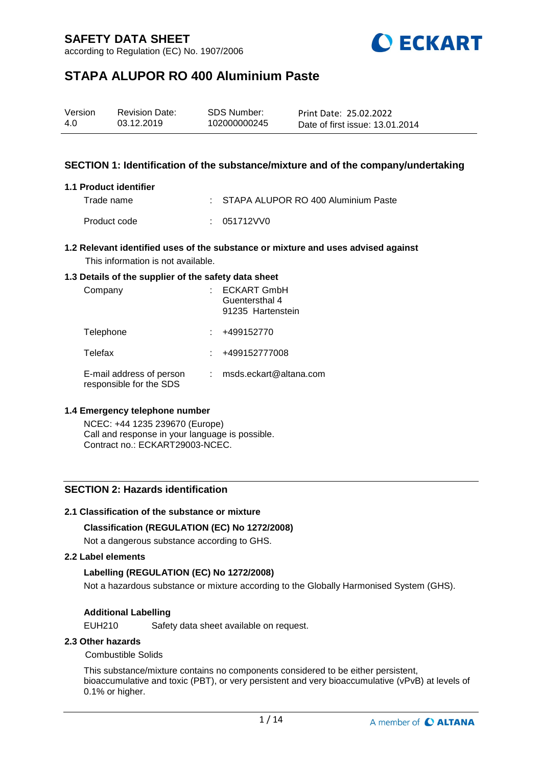according to Regulation (EC) No. 1907/2006



# **STAPA ALUPOR RO 400 Aluminium Paste**

| Version | <b>Revision Date:</b> | SDS Number:  | Print Date: 25.02.2022          |
|---------|-----------------------|--------------|---------------------------------|
| 4.0     | 03.12.2019            | 102000000245 | Date of first issue: 13.01.2014 |

## **SECTION 1: Identification of the substance/mixture and of the company/undertaking**

### **1.1 Product identifier**

Trade name : STAPA ALUPOR RO 400 Aluminium Paste Product code : 051712VV0

## **1.2 Relevant identified uses of the substance or mixture and uses advised against** This information is not available.

#### **1.3 Details of the supplier of the safety data sheet**

| Company                                             | <b>ECKART GmbH</b><br>Guentersthal 4<br>91235 Hartenstein |
|-----------------------------------------------------|-----------------------------------------------------------|
| Telephone                                           | +499152770                                                |
| Telefax                                             | +499152777008                                             |
| E-mail address of person<br>responsible for the SDS | msds.eckart@altana.com                                    |

### **1.4 Emergency telephone number**

NCEC: +44 1235 239670 (Europe) Call and response in your language is possible. Contract no.: ECKART29003-NCEC.

## **SECTION 2: Hazards identification**

## **2.1 Classification of the substance or mixture**

### **Classification (REGULATION (EC) No 1272/2008)**

Not a dangerous substance according to GHS.

#### **2.2 Label elements**

### **Labelling (REGULATION (EC) No 1272/2008)**

Not a hazardous substance or mixture according to the Globally Harmonised System (GHS).

### **Additional Labelling**

EUH210 Safety data sheet available on request.

### **2.3 Other hazards**

### Combustible Solids

This substance/mixture contains no components considered to be either persistent, bioaccumulative and toxic (PBT), or very persistent and very bioaccumulative (vPvB) at levels of 0.1% or higher.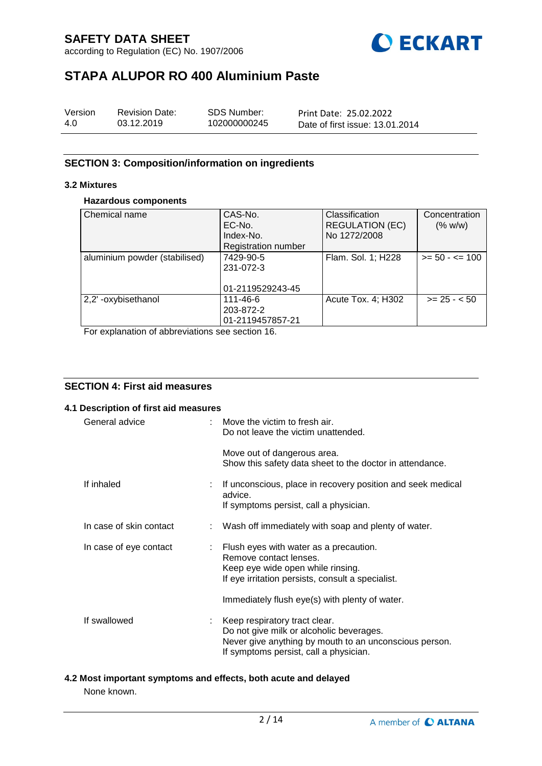according to Regulation (EC) No. 1907/2006



# **STAPA ALUPOR RO 400 Aluminium Paste**

| Version | <b>Revision Date:</b> | SDS Number:  | Print Date: 25.02.2022          |
|---------|-----------------------|--------------|---------------------------------|
| 4.0     | 03.12.2019            | 102000000245 | Date of first issue: 13.01.2014 |

## **SECTION 3: Composition/information on ingredients**

## **3.2 Mixtures**

## **Hazardous components**

| Chemical name                 | CAS-No.<br>EC-No.<br>Index-No.<br><b>Registration number</b> | Classification<br><b>REGULATION (EC)</b><br>No 1272/2008 | Concentration<br>(% w/w) |
|-------------------------------|--------------------------------------------------------------|----------------------------------------------------------|--------------------------|
| aluminium powder (stabilised) | 7429-90-5<br>231-072-3<br>01-2119529243-45                   | Flam. Sol. 1; H228                                       | $>= 50 - 5 = 100$        |
| 2,2' -oxybisethanol<br>.      | 111-46-6<br>203-872-2<br>01-2119457857-21                    | Acute Tox. 4; H302                                       | $>= 25 - 50$             |

For explanation of abbreviations see section 16.

# **SECTION 4: First aid measures**

| 4.1 Description of first aid measures |                                                                                                                                                                                                                |
|---------------------------------------|----------------------------------------------------------------------------------------------------------------------------------------------------------------------------------------------------------------|
| General advice                        | : Move the victim to fresh air.<br>Do not leave the victim unattended.                                                                                                                                         |
|                                       | Move out of dangerous area.<br>Show this safety data sheet to the doctor in attendance.                                                                                                                        |
| If inhaled                            | : If unconscious, place in recovery position and seek medical<br>advice.<br>If symptoms persist, call a physician.                                                                                             |
| In case of skin contact               | : Wash off immediately with soap and plenty of water.                                                                                                                                                          |
| In case of eye contact                | : Flush eyes with water as a precaution.<br>Remove contact lenses.<br>Keep eye wide open while rinsing.<br>If eye irritation persists, consult a specialist.<br>Immediately flush eye(s) with plenty of water. |
| If swallowed                          | : Keep respiratory tract clear.<br>Do not give milk or alcoholic beverages.<br>Never give anything by mouth to an unconscious person.<br>If symptoms persist, call a physician.                                |

# **4.2 Most important symptoms and effects, both acute and delayed**

None known.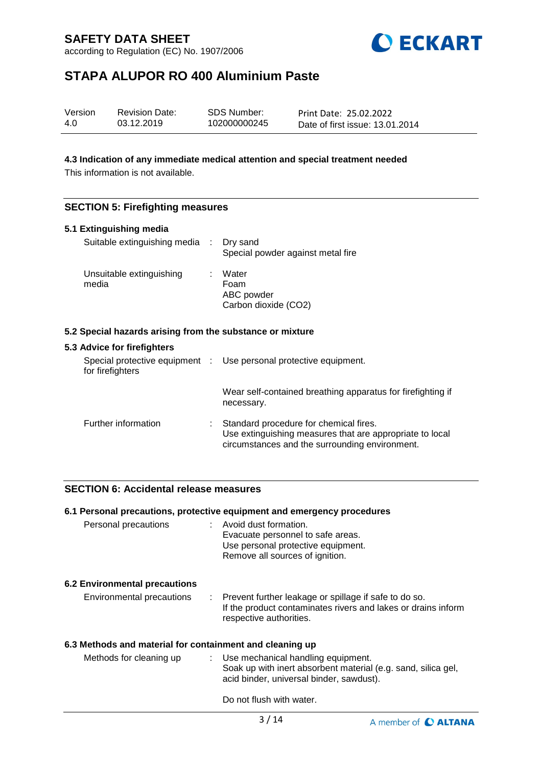according to Regulation (EC) No. 1907/2006



# **STAPA ALUPOR RO 400 Aluminium Paste**

| Version | <b>Revision Date:</b> | SDS Number:  | Print Date: 25.02.2022          |
|---------|-----------------------|--------------|---------------------------------|
| 4.0     | 03.12.2019            | 102000000245 | Date of first issue: 13.01.2014 |

## **4.3 Indication of any immediate medical attention and special treatment needed**

This information is not available.

## **SECTION 5: Firefighting measures**

| 5.1 Extinguishing media                                   |                                                                                                                                                      |
|-----------------------------------------------------------|------------------------------------------------------------------------------------------------------------------------------------------------------|
| Suitable extinguishing media : Dry sand                   | Special powder against metal fire                                                                                                                    |
| Unsuitable extinguishing<br>media                         | Water<br>Foam<br>ABC powder<br>Carbon dioxide (CO2)                                                                                                  |
| 5.2 Special hazards arising from the substance or mixture |                                                                                                                                                      |
| 5.3 Advice for firefighters                               |                                                                                                                                                      |
| for firefighters                                          | Special protective equipment : Use personal protective equipment.                                                                                    |
|                                                           | Wear self-contained breathing apparatus for firefighting if<br>necessary.                                                                            |
| Further information                                       | Standard procedure for chemical fires.<br>Use extinguishing measures that are appropriate to local<br>circumstances and the surrounding environment. |

# **SECTION 6: Accidental release measures**

|                                                          | 6.1 Personal precautions, protective equipment and emergency procedures                                                                             |
|----------------------------------------------------------|-----------------------------------------------------------------------------------------------------------------------------------------------------|
| Personal precautions                                     | : Avoid dust formation.<br>Evacuate personnel to safe areas.<br>Use personal protective equipment.<br>Remove all sources of ignition.               |
| <b>6.2 Environmental precautions</b>                     |                                                                                                                                                     |
| Environmental precautions                                | : Prevent further leakage or spillage if safe to do so.<br>If the product contaminates rivers and lakes or drains inform<br>respective authorities. |
| 6.3 Methods and material for containment and cleaning up |                                                                                                                                                     |
| Methods for cleaning up                                  | : Use mechanical handling equipment.<br>Soak up with inert absorbent material (e.g. sand, silica gel,<br>acid binder, universal binder, sawdust).   |
|                                                          | Do not flush with water.                                                                                                                            |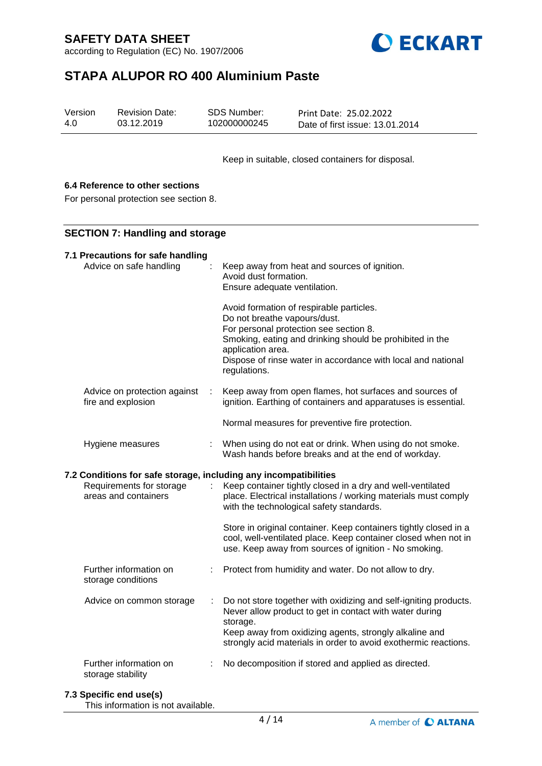according to Regulation (EC) No. 1907/2006



# **STAPA ALUPOR RO 400 Aluminium Paste**

| Version | <b>Revision Date:</b> | SDS Number:  | Print Date: 25.02.2022          |
|---------|-----------------------|--------------|---------------------------------|
| 4.0     | 03.12.2019            | 102000000245 | Date of first issue: 13.01.2014 |

Keep in suitable, closed containers for disposal.

# **6.4 Reference to other sections**

For personal protection see section 8.

### **SECTION 7: Handling and storage**

| 7.1 Precautions for safe handling<br>Advice on safe handling     |    | Keep away from heat and sources of ignition.<br>Avoid dust formation.<br>Ensure adequate ventilation.                                                                                                                                                                               |
|------------------------------------------------------------------|----|-------------------------------------------------------------------------------------------------------------------------------------------------------------------------------------------------------------------------------------------------------------------------------------|
|                                                                  |    | Avoid formation of respirable particles.<br>Do not breathe vapours/dust.<br>For personal protection see section 8.<br>Smoking, eating and drinking should be prohibited in the<br>application area.<br>Dispose of rinse water in accordance with local and national<br>regulations. |
| Advice on protection against<br>fire and explosion               | ÷. | Keep away from open flames, hot surfaces and sources of<br>ignition. Earthing of containers and apparatuses is essential.                                                                                                                                                           |
|                                                                  |    | Normal measures for preventive fire protection.                                                                                                                                                                                                                                     |
| Hygiene measures                                                 | ÷  | When using do not eat or drink. When using do not smoke.<br>Wash hands before breaks and at the end of workday.                                                                                                                                                                     |
| 7.2 Conditions for safe storage, including any incompatibilities |    |                                                                                                                                                                                                                                                                                     |
| Requirements for storage<br>areas and containers                 |    | Keep container tightly closed in a dry and well-ventilated<br>place. Electrical installations / working materials must comply<br>with the technological safety standards.                                                                                                           |
|                                                                  |    | Store in original container. Keep containers tightly closed in a<br>cool, well-ventilated place. Keep container closed when not in<br>use. Keep away from sources of ignition - No smoking.                                                                                         |
| Further information on<br>storage conditions                     |    | Protect from humidity and water. Do not allow to dry.                                                                                                                                                                                                                               |
| Advice on common storage                                         | ÷  | Do not store together with oxidizing and self-igniting products.<br>Never allow product to get in contact with water during<br>storage.<br>Keep away from oxidizing agents, strongly alkaline and<br>strongly acid materials in order to avoid exothermic reactions.                |

### **7.3 Specific end use(s)**

This information is not available.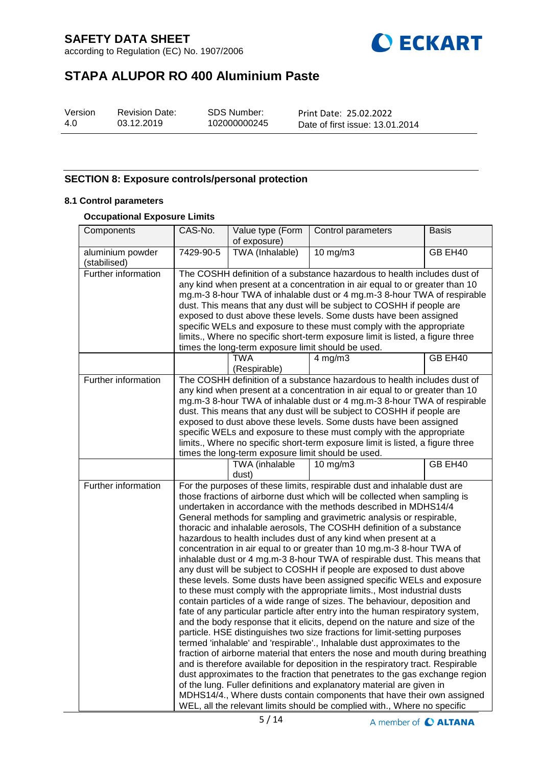according to Regulation (EC) No. 1907/2006



# **STAPA ALUPOR RO 400 Aluminium Paste**

| Version | ŀ |
|---------|---|
| 4.0     |   |

Revision Date: 03.12.2019

SDS Number: 102000000245 Print Date: 25.02.2022 Date of first issue: 13.01.2014

# **SECTION 8: Exposure controls/personal protection**

## **8.1 Control parameters**

## **Occupational Exposure Limits**

| Components                       | CAS-No.                                                                                                                                                                                                                                                                                                                                                                                                                                                                                                                                                                                           | Value type (Form<br>of exposure)                   | Control parameters                                                                                                                                                                                                                                                                                                                                                                                                                                                                                                                                                                                                                                                                                                                                                                                                                                                                                                                                                                                                                                                                                                                                                                                                                                                                                                                                                                                                                                                                                                                                                                                                                                                                                                        | <b>Basis</b> |
|----------------------------------|---------------------------------------------------------------------------------------------------------------------------------------------------------------------------------------------------------------------------------------------------------------------------------------------------------------------------------------------------------------------------------------------------------------------------------------------------------------------------------------------------------------------------------------------------------------------------------------------------|----------------------------------------------------|---------------------------------------------------------------------------------------------------------------------------------------------------------------------------------------------------------------------------------------------------------------------------------------------------------------------------------------------------------------------------------------------------------------------------------------------------------------------------------------------------------------------------------------------------------------------------------------------------------------------------------------------------------------------------------------------------------------------------------------------------------------------------------------------------------------------------------------------------------------------------------------------------------------------------------------------------------------------------------------------------------------------------------------------------------------------------------------------------------------------------------------------------------------------------------------------------------------------------------------------------------------------------------------------------------------------------------------------------------------------------------------------------------------------------------------------------------------------------------------------------------------------------------------------------------------------------------------------------------------------------------------------------------------------------------------------------------------------------|--------------|
| aluminium powder<br>(stabilised) | 7429-90-5                                                                                                                                                                                                                                                                                                                                                                                                                                                                                                                                                                                         | TWA (Inhalable)                                    | 10 mg/m3                                                                                                                                                                                                                                                                                                                                                                                                                                                                                                                                                                                                                                                                                                                                                                                                                                                                                                                                                                                                                                                                                                                                                                                                                                                                                                                                                                                                                                                                                                                                                                                                                                                                                                                  | GB EH40      |
| Further information              | The COSHH definition of a substance hazardous to health includes dust of<br>any kind when present at a concentration in air equal to or greater than 10<br>mg.m-3 8-hour TWA of inhalable dust or 4 mg.m-3 8-hour TWA of respirable<br>dust. This means that any dust will be subject to COSHH if people are<br>exposed to dust above these levels. Some dusts have been assigned<br>specific WELs and exposure to these must comply with the appropriate<br>limits., Where no specific short-term exposure limit is listed, a figure three<br>times the long-term exposure limit should be used. |                                                    |                                                                                                                                                                                                                                                                                                                                                                                                                                                                                                                                                                                                                                                                                                                                                                                                                                                                                                                                                                                                                                                                                                                                                                                                                                                                                                                                                                                                                                                                                                                                                                                                                                                                                                                           |              |
|                                  |                                                                                                                                                                                                                                                                                                                                                                                                                                                                                                                                                                                                   | <b>TWA</b><br>(Respirable)                         | $4$ mg/m $3$                                                                                                                                                                                                                                                                                                                                                                                                                                                                                                                                                                                                                                                                                                                                                                                                                                                                                                                                                                                                                                                                                                                                                                                                                                                                                                                                                                                                                                                                                                                                                                                                                                                                                                              | GB EH40      |
| Further information              |                                                                                                                                                                                                                                                                                                                                                                                                                                                                                                                                                                                                   | times the long-term exposure limit should be used. | The COSHH definition of a substance hazardous to health includes dust of<br>any kind when present at a concentration in air equal to or greater than 10<br>mg.m-3 8-hour TWA of inhalable dust or 4 mg.m-3 8-hour TWA of respirable<br>dust. This means that any dust will be subject to COSHH if people are<br>exposed to dust above these levels. Some dusts have been assigned<br>specific WELs and exposure to these must comply with the appropriate<br>limits., Where no specific short-term exposure limit is listed, a figure three                                                                                                                                                                                                                                                                                                                                                                                                                                                                                                                                                                                                                                                                                                                                                                                                                                                                                                                                                                                                                                                                                                                                                                               |              |
|                                  |                                                                                                                                                                                                                                                                                                                                                                                                                                                                                                                                                                                                   | TWA (inhalable<br>dust)                            | 10 mg/m3                                                                                                                                                                                                                                                                                                                                                                                                                                                                                                                                                                                                                                                                                                                                                                                                                                                                                                                                                                                                                                                                                                                                                                                                                                                                                                                                                                                                                                                                                                                                                                                                                                                                                                                  | GB EH40      |
| Further information              |                                                                                                                                                                                                                                                                                                                                                                                                                                                                                                                                                                                                   |                                                    | For the purposes of these limits, respirable dust and inhalable dust are<br>those fractions of airborne dust which will be collected when sampling is<br>undertaken in accordance with the methods described in MDHS14/4<br>General methods for sampling and gravimetric analysis or respirable,<br>thoracic and inhalable aerosols, The COSHH definition of a substance<br>hazardous to health includes dust of any kind when present at a<br>concentration in air equal to or greater than 10 mg.m-3 8-hour TWA of<br>inhalable dust or 4 mg.m-3 8-hour TWA of respirable dust. This means that<br>any dust will be subject to COSHH if people are exposed to dust above<br>these levels. Some dusts have been assigned specific WELs and exposure<br>to these must comply with the appropriate limits., Most industrial dusts<br>contain particles of a wide range of sizes. The behaviour, deposition and<br>fate of any particular particle after entry into the human respiratory system,<br>and the body response that it elicits, depend on the nature and size of the<br>particle. HSE distinguishes two size fractions for limit-setting purposes<br>termed 'inhalable' and 'respirable'., Inhalable dust approximates to the<br>fraction of airborne material that enters the nose and mouth during breathing<br>and is therefore available for deposition in the respiratory tract. Respirable<br>dust approximates to the fraction that penetrates to the gas exchange region<br>of the lung. Fuller definitions and explanatory material are given in<br>MDHS14/4., Where dusts contain components that have their own assigned<br>WEL, all the relevant limits should be complied with., Where no specific |              |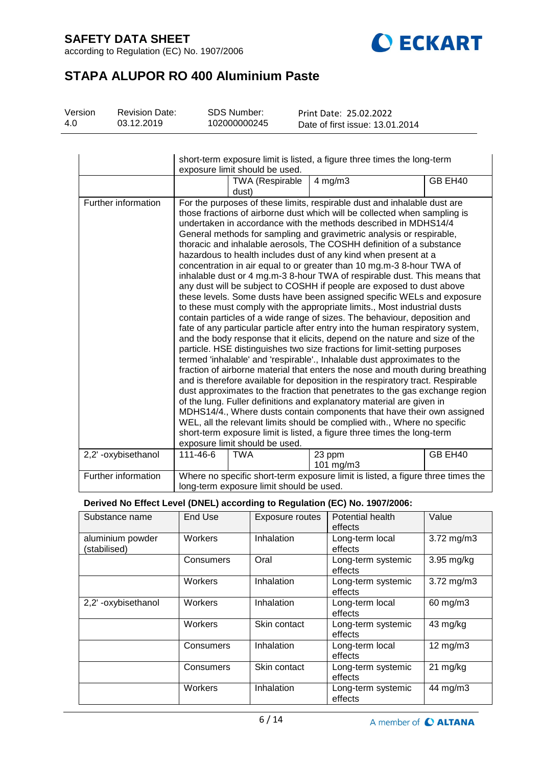according to Regulation (EC) No. 1907/2006



# **STAPA ALUPOR RO 400 Aluminium Paste**

| Version | <b>Revision Date:</b> | SDS Number:  | Print Date: 25.02.2022          |
|---------|-----------------------|--------------|---------------------------------|
| 4.0     | 03.12.2019            | 102000000245 | Date of first issue: 13.01.2014 |

|                     | short-term exposure limit is listed, a figure three times the long-term<br>exposure limit should be used. |                                          |                                                                                                                                                                                                                                                                                                                                                                                                                                                                                                                                                                                                                                                                                                                                                                                                                                                                                                                                                                                                                                                                                                                                                                                                                                                                                                                                                                                                                                                                                                                                                                                                                                                                                                                                                                                                      |         |  |
|---------------------|-----------------------------------------------------------------------------------------------------------|------------------------------------------|------------------------------------------------------------------------------------------------------------------------------------------------------------------------------------------------------------------------------------------------------------------------------------------------------------------------------------------------------------------------------------------------------------------------------------------------------------------------------------------------------------------------------------------------------------------------------------------------------------------------------------------------------------------------------------------------------------------------------------------------------------------------------------------------------------------------------------------------------------------------------------------------------------------------------------------------------------------------------------------------------------------------------------------------------------------------------------------------------------------------------------------------------------------------------------------------------------------------------------------------------------------------------------------------------------------------------------------------------------------------------------------------------------------------------------------------------------------------------------------------------------------------------------------------------------------------------------------------------------------------------------------------------------------------------------------------------------------------------------------------------------------------------------------------------|---------|--|
|                     |                                                                                                           | <b>TWA (Respirable</b><br>dust)          | $4$ mg/m $3$                                                                                                                                                                                                                                                                                                                                                                                                                                                                                                                                                                                                                                                                                                                                                                                                                                                                                                                                                                                                                                                                                                                                                                                                                                                                                                                                                                                                                                                                                                                                                                                                                                                                                                                                                                                         | GB EH40 |  |
| Further information |                                                                                                           | exposure limit should be used.           | For the purposes of these limits, respirable dust and inhalable dust are<br>those fractions of airborne dust which will be collected when sampling is<br>undertaken in accordance with the methods described in MDHS14/4<br>General methods for sampling and gravimetric analysis or respirable,<br>thoracic and inhalable aerosols, The COSHH definition of a substance<br>hazardous to health includes dust of any kind when present at a<br>concentration in air equal to or greater than 10 mg.m-3 8-hour TWA of<br>inhalable dust or 4 mg.m-3 8-hour TWA of respirable dust. This means that<br>any dust will be subject to COSHH if people are exposed to dust above<br>these levels. Some dusts have been assigned specific WELs and exposure<br>to these must comply with the appropriate limits., Most industrial dusts<br>contain particles of a wide range of sizes. The behaviour, deposition and<br>fate of any particular particle after entry into the human respiratory system,<br>and the body response that it elicits, depend on the nature and size of the<br>particle. HSE distinguishes two size fractions for limit-setting purposes<br>termed 'inhalable' and 'respirable'., Inhalable dust approximates to the<br>fraction of airborne material that enters the nose and mouth during breathing<br>and is therefore available for deposition in the respiratory tract. Respirable<br>dust approximates to the fraction that penetrates to the gas exchange region<br>of the lung. Fuller definitions and explanatory material are given in<br>MDHS14/4., Where dusts contain components that have their own assigned<br>WEL, all the relevant limits should be complied with., Where no specific<br>short-term exposure limit is listed, a figure three times the long-term |         |  |
| 2,2'-oxybisethanol  | 111-46-6                                                                                                  | <b>TWA</b>                               | 23 ppm<br>101 $mg/m3$                                                                                                                                                                                                                                                                                                                                                                                                                                                                                                                                                                                                                                                                                                                                                                                                                                                                                                                                                                                                                                                                                                                                                                                                                                                                                                                                                                                                                                                                                                                                                                                                                                                                                                                                                                                | GB EH40 |  |
| Further information |                                                                                                           | long-term exposure limit should be used. | Where no specific short-term exposure limit is listed, a figure three times the                                                                                                                                                                                                                                                                                                                                                                                                                                                                                                                                                                                                                                                                                                                                                                                                                                                                                                                                                                                                                                                                                                                                                                                                                                                                                                                                                                                                                                                                                                                                                                                                                                                                                                                      |         |  |

# **Derived No Effect Level (DNEL) according to Regulation (EC) No. 1907/2006:**

| Substance name                   | End Use   | Exposure routes | Potential health<br>effects   | Value              |
|----------------------------------|-----------|-----------------|-------------------------------|--------------------|
| aluminium powder<br>(stabilised) | Workers   | Inhalation      | Long-term local<br>effects    | $3.72$ mg/m $3$    |
|                                  | Consumers | Oral            | Long-term systemic<br>effects | $3.95$ mg/kg       |
|                                  | Workers   | Inhalation      | Long-term systemic<br>effects | $3.72$ mg/m $3$    |
| 2,2' -oxybisethanol              | Workers   | Inhalation      | Long-term local<br>effects    | 60 mg/m3           |
|                                  | Workers   | Skin contact    | Long-term systemic<br>effects | 43 mg/kg           |
|                                  | Consumers | Inhalation      | Long-term local<br>effects    | $12 \text{ mg/m}$  |
|                                  | Consumers | Skin contact    | Long-term systemic<br>effects | $21 \text{ mg/kg}$ |
|                                  | Workers   | Inhalation      | Long-term systemic<br>effects | 44 mg/m3           |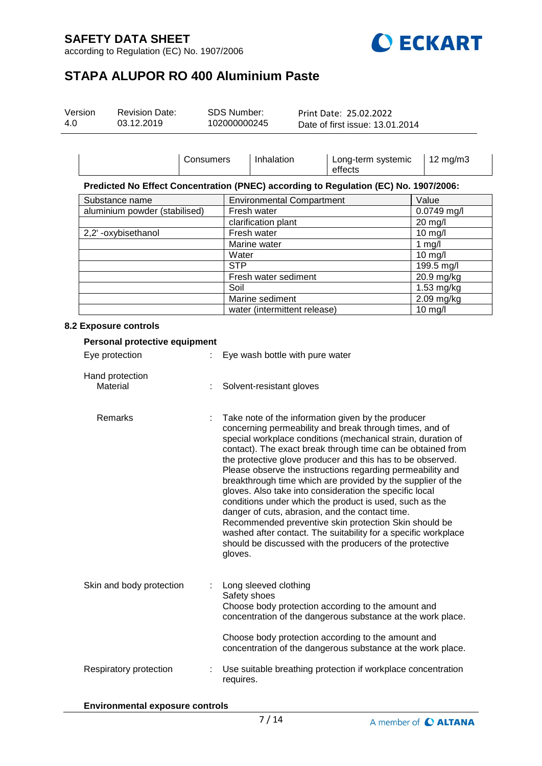according to Regulation (EC) No. 1907/2006



# **STAPA ALUPOR RO 400 Aluminium Paste**

| Version | <b>Revision Date:</b> | SDS Number:  | Print Date: 25.02.2022          |  |
|---------|-----------------------|--------------|---------------------------------|--|
| 4.0     | 03.12.2019            | 102000000245 | Date of first issue: 13.01.2014 |  |

|                               | Consumers |                              | Inhalation                       | Long-term systemic<br>effects                                                        | $12 \text{ mg/m}$ 3 |
|-------------------------------|-----------|------------------------------|----------------------------------|--------------------------------------------------------------------------------------|---------------------|
|                               |           |                              |                                  | Predicted No Effect Concentration (PNEC) according to Regulation (EC) No. 1907/2006: |                     |
| Substance name                |           |                              | <b>Environmental Compartment</b> |                                                                                      | Value               |
| aluminium powder (stabilised) |           |                              | Fresh water                      |                                                                                      | $0.0749$ mg/l       |
|                               |           | clarification plant          |                                  |                                                                                      | 20 mg/l             |
| 2,2'-oxybisethanol            |           | Fresh water                  |                                  |                                                                                      | $10 \text{ mg/l}$   |
|                               |           | Marine water                 |                                  |                                                                                      | 1 mg/l              |
|                               |           | Water                        |                                  |                                                                                      | $10$ mg/l           |
|                               |           |                              |                                  | 199.5 mg/l                                                                           |                     |
|                               |           | Fresh water sediment         |                                  |                                                                                      | 20.9 mg/kg          |
|                               |           | Soil                         |                                  | 1.53 mg/kg                                                                           |                     |
|                               |           | Marine sediment              |                                  | 2.09 mg/kg                                                                           |                     |
|                               |           | water (intermittent release) |                                  |                                                                                      | $10$ mg/l           |

## **8.2 Exposure controls**

| Personal protective equipment |  |                                                                                                                                                                                                                                                                                                                                                                                                                                                                                                                                                                                                                                                                                                                                                                                                                    |  |  |  |
|-------------------------------|--|--------------------------------------------------------------------------------------------------------------------------------------------------------------------------------------------------------------------------------------------------------------------------------------------------------------------------------------------------------------------------------------------------------------------------------------------------------------------------------------------------------------------------------------------------------------------------------------------------------------------------------------------------------------------------------------------------------------------------------------------------------------------------------------------------------------------|--|--|--|
| Eye protection                |  | Eye wash bottle with pure water                                                                                                                                                                                                                                                                                                                                                                                                                                                                                                                                                                                                                                                                                                                                                                                    |  |  |  |
| Hand protection<br>Material   |  | Solvent-resistant gloves                                                                                                                                                                                                                                                                                                                                                                                                                                                                                                                                                                                                                                                                                                                                                                                           |  |  |  |
| Remarks                       |  | Take note of the information given by the producer<br>concerning permeability and break through times, and of<br>special workplace conditions (mechanical strain, duration of<br>contact). The exact break through time can be obtained from<br>the protective glove producer and this has to be observed.<br>Please observe the instructions regarding permeability and<br>breakthrough time which are provided by the supplier of the<br>gloves. Also take into consideration the specific local<br>conditions under which the product is used, such as the<br>danger of cuts, abrasion, and the contact time.<br>Recommended preventive skin protection Skin should be<br>washed after contact. The suitability for a specific workplace<br>should be discussed with the producers of the protective<br>gloves. |  |  |  |
| Skin and body protection      |  | Long sleeved clothing<br>Safety shoes<br>Choose body protection according to the amount and<br>concentration of the dangerous substance at the work place.                                                                                                                                                                                                                                                                                                                                                                                                                                                                                                                                                                                                                                                         |  |  |  |
|                               |  | Choose body protection according to the amount and<br>concentration of the dangerous substance at the work place.                                                                                                                                                                                                                                                                                                                                                                                                                                                                                                                                                                                                                                                                                                  |  |  |  |
| Respiratory protection        |  | Use suitable breathing protection if workplace concentration<br>requires.                                                                                                                                                                                                                                                                                                                                                                                                                                                                                                                                                                                                                                                                                                                                          |  |  |  |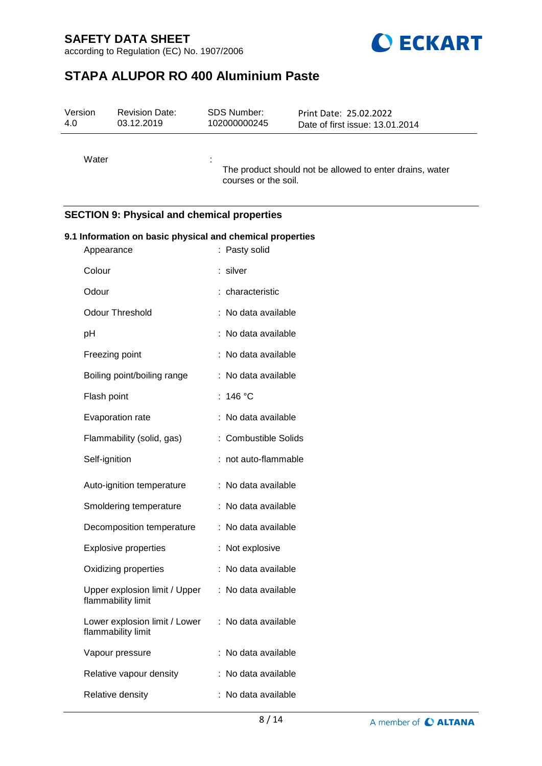according to Regulation (EC) No. 1907/2006



# **STAPA ALUPOR RO 400 Aluminium Paste**

| Version | <b>Revision Date:</b> | <b>SDS Number:</b>   | Print Date: 25.02.2022                                   |
|---------|-----------------------|----------------------|----------------------------------------------------------|
| 4.0     | 03.12.2019            | 102000000245         | Date of first issue: 13.01.2014                          |
| Water   |                       | courses or the soil. | The product should not be allowed to enter drains, water |

# **SECTION 9: Physical and chemical properties**

| 9.1 Information on basic physical and chemical properties |   |                         |  |  |
|-----------------------------------------------------------|---|-------------------------|--|--|
| Appearance                                                |   | Pasty solid             |  |  |
| Colour                                                    |   | silver                  |  |  |
| Odour                                                     |   | characteristic          |  |  |
| <b>Odour Threshold</b>                                    |   | No data available       |  |  |
| pH                                                        |   | No data available       |  |  |
| Freezing point                                            |   | No data available       |  |  |
| Boiling point/boiling range                               |   | No data available       |  |  |
| Flash point                                               | t | 146 °C                  |  |  |
| Evaporation rate                                          | t | No data available       |  |  |
| Flammability (solid, gas)                                 |   | : Combustible Solids    |  |  |
| Self-ignition                                             |   | not auto-flammable      |  |  |
| Auto-ignition temperature                                 |   | No data available       |  |  |
| Smoldering temperature                                    | ÷ | No data available       |  |  |
| Decomposition temperature                                 |   | No data available<br>÷. |  |  |
| <b>Explosive properties</b>                               |   | Not explosive           |  |  |
| Oxidizing properties                                      |   | No data available       |  |  |
| Upper explosion limit / Upper<br>flammability limit       |   | No data available<br>÷. |  |  |
| Lower explosion limit / Lower<br>flammability limit       |   | ÷.<br>No data available |  |  |
| Vapour pressure                                           |   | No data available       |  |  |
| Relative vapour density                                   |   | No data available       |  |  |
| Relative density                                          |   | No data available       |  |  |
|                                                           |   |                         |  |  |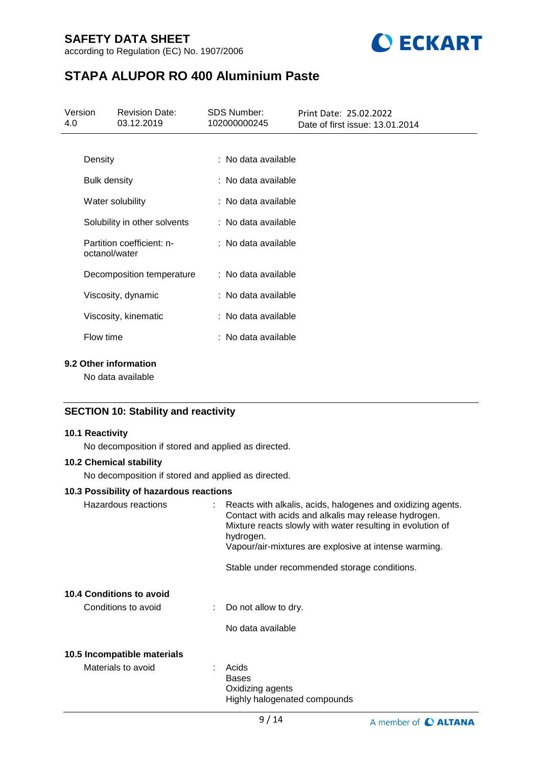according to Regulation (EC) No. 1907/2006



# **STAPA ALUPOR RO 400 Aluminium Paste**

| 4.0 | <b>SDS Number:</b><br>Version<br><b>Revision Date:</b><br>03.12.2019<br>102000000245 |  |                     | Print Date: 25.02.2022<br>Date of first issue: 13.01.2014 |  |
|-----|--------------------------------------------------------------------------------------|--|---------------------|-----------------------------------------------------------|--|
|     |                                                                                      |  |                     |                                                           |  |
|     | Density                                                                              |  | : No data available |                                                           |  |
|     | <b>Bulk density</b>                                                                  |  | : No data available |                                                           |  |
|     | Water solubility                                                                     |  | : No data available |                                                           |  |
|     | Solubility in other solvents                                                         |  | : No data available |                                                           |  |
|     | Partition coefficient: n-<br>octanol/water                                           |  | : No data available |                                                           |  |
|     | Decomposition temperature                                                            |  | : No data available |                                                           |  |
|     | Viscosity, dynamic                                                                   |  | : No data available |                                                           |  |
|     | Viscosity, kinematic                                                                 |  | : No data available |                                                           |  |
|     | Flow time                                                                            |  | : No data available |                                                           |  |
|     |                                                                                      |  |                     |                                                           |  |

# **9.2 Other information**

No data available

## **SECTION 10: Stability and reactivity**

# **10.1 Reactivity**

No decomposition if stored and applied as directed.

# **10.2 Chemical stability**

No decomposition if stored and applied as directed.

### **10.3 Possibility of hazardous reactions**

| Hazardous reactions         | : Reacts with alkalis, acids, halogenes and oxidizing agents.<br>Contact with acids and alkalis may release hydrogen.<br>Mixture reacts slowly with water resulting in evolution of<br>hydrogen.<br>Vapour/air-mixtures are explosive at intense warming. |
|-----------------------------|-----------------------------------------------------------------------------------------------------------------------------------------------------------------------------------------------------------------------------------------------------------|
|                             | Stable under recommended storage conditions.                                                                                                                                                                                                              |
| 10.4 Conditions to avoid    |                                                                                                                                                                                                                                                           |
| Conditions to avoid         | $\therefore$ Do not allow to dry.                                                                                                                                                                                                                         |
|                             | No data available                                                                                                                                                                                                                                         |
| 10.5 Incompatible materials |                                                                                                                                                                                                                                                           |
| Materials to avoid          | Acids<br><b>Bases</b><br>Oxidizing agents<br>Highly halogenated compounds                                                                                                                                                                                 |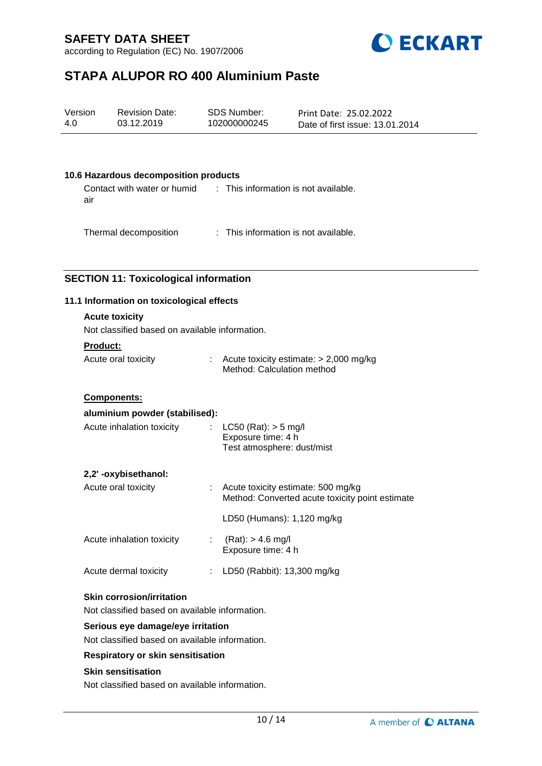according to Regulation (EC) No. 1907/2006



# **STAPA ALUPOR RO 400 Aluminium Paste**

| Version | <b>Revision Date:</b> | SDS Number:  | Print Date: 25.02.2022          |
|---------|-----------------------|--------------|---------------------------------|
| 4.0     | 03.12.2019            | 102000000245 | Date of first issue: 13.01.2014 |
|         |                       |              |                                 |

### **10.6 Hazardous decomposition products**

Contact with water or humid air : This information is not available.

Thermal decomposition : This information is not available.

## **SECTION 11: Toxicological information**

### **11.1 Information on toxicological effects**

# **Acute toxicity**

Not classified based on available information.

#### **Product:**

| Acute oral toxicity | Acute toxicity estimate: $> 2,000$ mg/kg |
|---------------------|------------------------------------------|
|                     | Method: Calculation method               |

### **Components:**

| aluminium powder (stabilised): |                                                                                           |
|--------------------------------|-------------------------------------------------------------------------------------------|
| Acute inhalation toxicity      | : $LC50 (Rat): > 5 mg/l$<br>Exposure time: 4 h<br>Test atmosphere: dust/mist              |
| 2,2'-oxybisethanol:            |                                                                                           |
| Acute oral toxicity            | $:$ Acute toxicity estimate: 500 mg/kg<br>Method: Converted acute toxicity point estimate |
|                                | LD50 (Humans): 1,120 mg/kg                                                                |
| Acute inhalation toxicity      | $(Rat):$ > 4.6 mg/l<br>Exposure time: 4 h                                                 |
| Acute dermal toxicity          | LD50 (Rabbit): 13,300 mg/kg                                                               |
| .                              |                                                                                           |

# **Skin corrosion/irritation**

Not classified based on available information.

#### **Serious eye damage/eye irritation**

Not classified based on available information.

#### **Respiratory or skin sensitisation**

### **Skin sensitisation**

Not classified based on available information.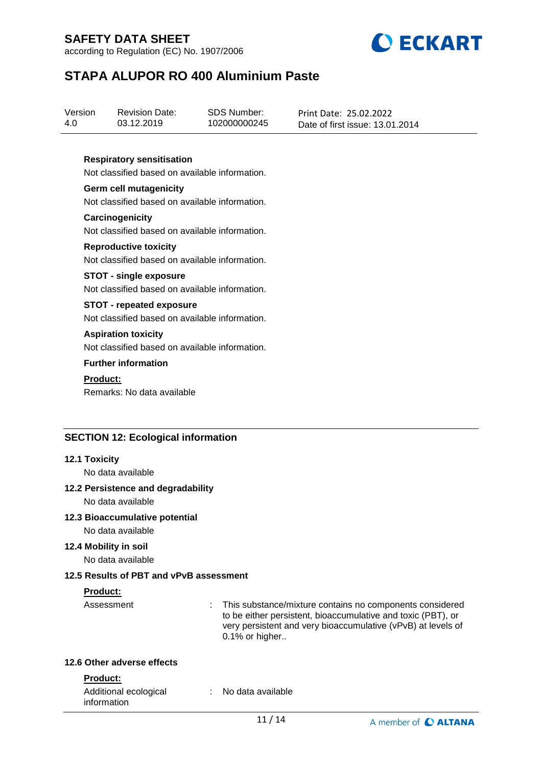according to Regulation (EC) No. 1907/2006



# **STAPA ALUPOR RO 400 Aluminium Paste**

| Version | <b>Revision Date:</b> | SDS Number:  | Print Date: 25.02.2022          |
|---------|-----------------------|--------------|---------------------------------|
| 4.0     | 03.12.2019            | 102000000245 | Date of first issue: 13.01.2014 |

### **Respiratory sensitisation**

Not classified based on available information.

**Germ cell mutagenicity** Not classified based on available information.

**Carcinogenicity** Not classified based on available information.

#### **Reproductive toxicity**

Not classified based on available information.

#### **STOT - single exposure**

Not classified based on available information.

### **STOT - repeated exposure**

Not classified based on available information.

#### **Aspiration toxicity**

Not classified based on available information.

#### **Further information**

#### **Product:**

Remarks: No data available

### **SECTION 12: Ecological information**

#### **12.1 Toxicity**

No data available

#### **12.2 Persistence and degradability**

No data available

### **12.3 Bioaccumulative potential**

No data available

# **12.4 Mobility in soil**

No data available

## **12.5 Results of PBT and vPvB assessment**

#### **Product:**

Assessment : This substance/mixture contains no components considered to be either persistent, bioaccumulative and toxic (PBT), or very persistent and very bioaccumulative (vPvB) at levels of  $0.1\%$  or higher..

## **12.6 Other adverse effects**

#### **Product:**

| Additional ecological | No data available |  |
|-----------------------|-------------------|--|
| information           |                   |  |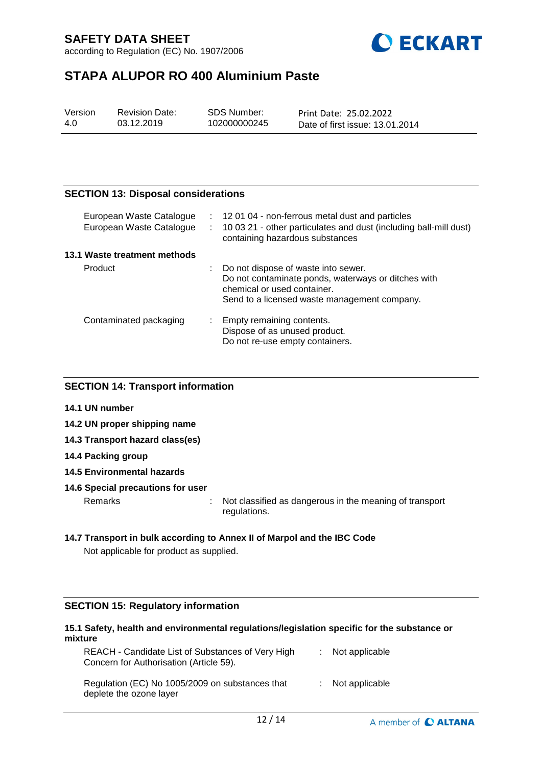according to Regulation (EC) No. 1907/2006



# **STAPA ALUPOR RO 400 Aluminium Paste**

| Version | <b>Revision Date:</b> | SDS Number:  | Print Date: 25.02.2022          |
|---------|-----------------------|--------------|---------------------------------|
| 4.0     | 03.12.2019            | 102000000245 | Date of first issue: 13.01.2014 |

## **SECTION 13: Disposal considerations**

| European Waste Catalogue<br>European Waste Catalogue | t in<br>÷. | 120104 - non-ferrous metal dust and particles<br>10 03 21 - other particulates and dust (including ball-mill dust)<br>containing hazardous substances                     |
|------------------------------------------------------|------------|---------------------------------------------------------------------------------------------------------------------------------------------------------------------------|
| 13.1 Waste treatment methods                         |            |                                                                                                                                                                           |
| Product                                              |            | Do not dispose of waste into sewer.<br>Do not contaminate ponds, waterways or ditches with<br>chemical or used container.<br>Send to a licensed waste management company. |
| Contaminated packaging                               |            | Empty remaining contents.<br>Dispose of as unused product.<br>Do not re-use empty containers.                                                                             |

## **SECTION 14: Transport information**

- **14.1 UN number**
- **14.2 UN proper shipping name**
- **14.3 Transport hazard class(es)**
- **14.4 Packing group**
- **14.5 Environmental hazards**

#### **14.6 Special precautions for user**

Remarks : Not classified as dangerous in the meaning of transport regulations.

## **14.7 Transport in bulk according to Annex II of Marpol and the IBC Code** Not applicable for product as supplied.

# **SECTION 15: Regulatory information**

## **15.1 Safety, health and environmental regulations/legislation specific for the substance or mixture**

| REACH - Candidate List of Substances of Very High<br>Concern for Authorisation (Article 59). | : Not applicable   |  |
|----------------------------------------------------------------------------------------------|--------------------|--|
| Regulation (EC) No 1005/2009 on substances that<br>deplete the ozone layer                   | $:$ Not applicable |  |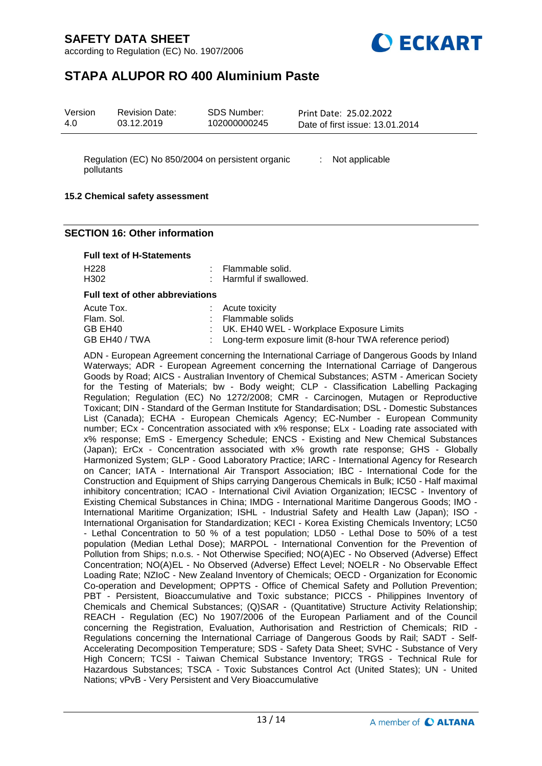according to Regulation (EC) No. 1907/2006



# **STAPA ALUPOR RO 400 Aluminium Paste**

| Version<br>SDS Number:<br><b>Revision Date:</b><br>102000000245<br>4.0<br>03.12.2019 | Print Date: 25.02.2022<br>Date of first issue: 13.01.2014 |
|--------------------------------------------------------------------------------------|-----------------------------------------------------------|
|--------------------------------------------------------------------------------------|-----------------------------------------------------------|

Regulation (EC) No 850/2004 on persistent organic : Not applicable pollutants

### **15.2 Chemical safety assessment**

### **SECTION 16: Other information**

#### **Full text of H-Statements**

| H <sub>228</sub>                        | : Flammable solid.                                       |
|-----------------------------------------|----------------------------------------------------------|
| H <sub>302</sub>                        | : Harmful if swallowed.                                  |
| <b>Full text of other abbreviations</b> |                                                          |
| Acute Tox.                              | $:$ Acute toxicity                                       |
| Flam. Sol.                              | : Flammable solids                                       |
| GB EH40                                 | : UK. EH40 WEL - Workplace Exposure Limits               |
| GB EH40 / TWA                           | : Long-term exposure limit (8-hour TWA reference period) |

ADN - European Agreement concerning the International Carriage of Dangerous Goods by Inland Waterways; ADR - European Agreement concerning the International Carriage of Dangerous Goods by Road; AICS - Australian Inventory of Chemical Substances; ASTM - American Society for the Testing of Materials; bw - Body weight; CLP - Classification Labelling Packaging Regulation; Regulation (EC) No 1272/2008; CMR - Carcinogen, Mutagen or Reproductive Toxicant; DIN - Standard of the German Institute for Standardisation; DSL - Domestic Substances List (Canada); ECHA - European Chemicals Agency; EC-Number - European Community number; ECx - Concentration associated with x% response; ELx - Loading rate associated with x% response; EmS - Emergency Schedule; ENCS - Existing and New Chemical Substances (Japan); ErCx - Concentration associated with x% growth rate response; GHS - Globally Harmonized System; GLP - Good Laboratory Practice; IARC - International Agency for Research on Cancer; IATA - International Air Transport Association; IBC - International Code for the Construction and Equipment of Ships carrying Dangerous Chemicals in Bulk; IC50 - Half maximal inhibitory concentration; ICAO - International Civil Aviation Organization; IECSC - Inventory of Existing Chemical Substances in China; IMDG - International Maritime Dangerous Goods; IMO - International Maritime Organization; ISHL - Industrial Safety and Health Law (Japan); ISO - International Organisation for Standardization; KECI - Korea Existing Chemicals Inventory; LC50 - Lethal Concentration to 50 % of a test population; LD50 - Lethal Dose to 50% of a test population (Median Lethal Dose); MARPOL - International Convention for the Prevention of Pollution from Ships; n.o.s. - Not Otherwise Specified; NO(A)EC - No Observed (Adverse) Effect Concentration; NO(A)EL - No Observed (Adverse) Effect Level; NOELR - No Observable Effect Loading Rate; NZIoC - New Zealand Inventory of Chemicals; OECD - Organization for Economic Co-operation and Development; OPPTS - Office of Chemical Safety and Pollution Prevention; PBT - Persistent, Bioaccumulative and Toxic substance; PICCS - Philippines Inventory of Chemicals and Chemical Substances; (Q)SAR - (Quantitative) Structure Activity Relationship; REACH - Regulation (EC) No 1907/2006 of the European Parliament and of the Council concerning the Registration, Evaluation, Authorisation and Restriction of Chemicals; RID - Regulations concerning the International Carriage of Dangerous Goods by Rail; SADT - Self-Accelerating Decomposition Temperature; SDS - Safety Data Sheet; SVHC - Substance of Very High Concern; TCSI - Taiwan Chemical Substance Inventory; TRGS - Technical Rule for Hazardous Substances; TSCA - Toxic Substances Control Act (United States); UN - United Nations; vPvB - Very Persistent and Very Bioaccumulative